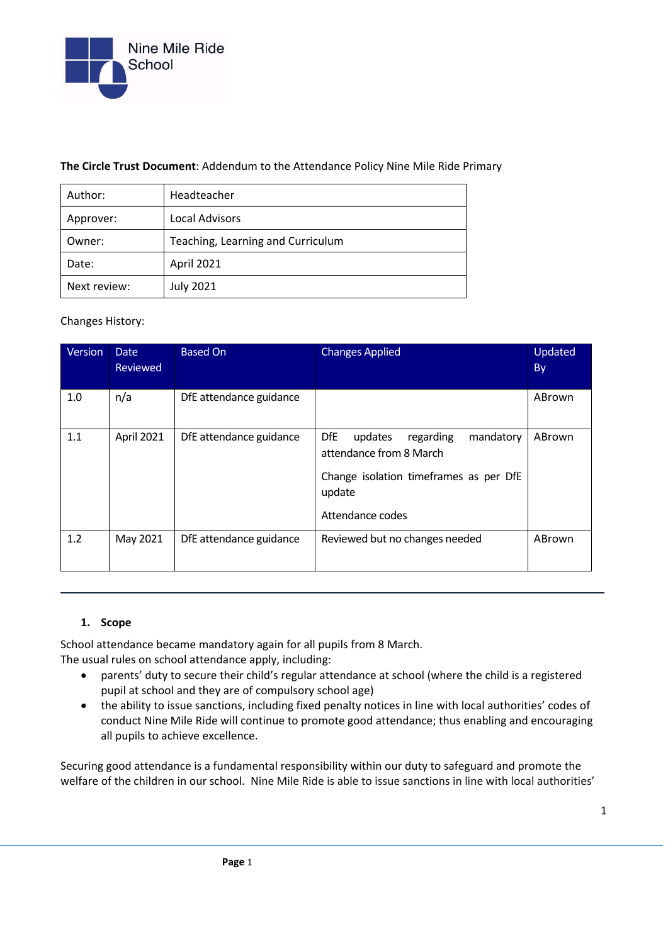

### **The Circle Trust Document**: Addendum to the Attendance Policy Nine Mile Ride Primary

| Author:      | Headteacher                       |  |
|--------------|-----------------------------------|--|
| Approver:    | <b>Local Advisors</b>             |  |
| Owner:       | Teaching, Learning and Curriculum |  |
| Date:        | April 2021                        |  |
| Next review: | <b>July 2021</b>                  |  |

### Changes History:

| Version | <b>Date</b><br><b>Reviewed</b> | <b>Based On</b>         | <b>Changes Applied</b>                                                                                                                             | Updated<br><b>By</b> |
|---------|--------------------------------|-------------------------|----------------------------------------------------------------------------------------------------------------------------------------------------|----------------------|
| 1.0     | n/a                            | DfE attendance guidance |                                                                                                                                                    | ABrown               |
| 1.1     | April 2021                     | DfE attendance guidance | <b>DfE</b><br>regarding<br>updates<br>mandatory<br>attendance from 8 March<br>Change isolation timeframes as per DfE<br>update<br>Attendance codes | ABrown               |
| 1.2     | May 2021                       | DfE attendance guidance | Reviewed but no changes needed                                                                                                                     | ABrown               |

## **1. Scope**

School attendance became mandatory again for all pupils from 8 March. The usual rules on school attendance apply, including:

- parents' duty to secure their child's regular attendance at school (where the child is a registered pupil at school and they are of compulsory school age)
- the ability to issue sanctions, including fixed penalty notices in line with local authorities' codes of conduct Nine Mile Ride will continue to promote good attendance; thus enabling and encouraging all pupils to achieve excellence.

Securing good attendance is a fundamental responsibility within our duty to safeguard and promote the welfare of the children in our school. Nine Mile Ride is able to issue sanctions in line with local authorities'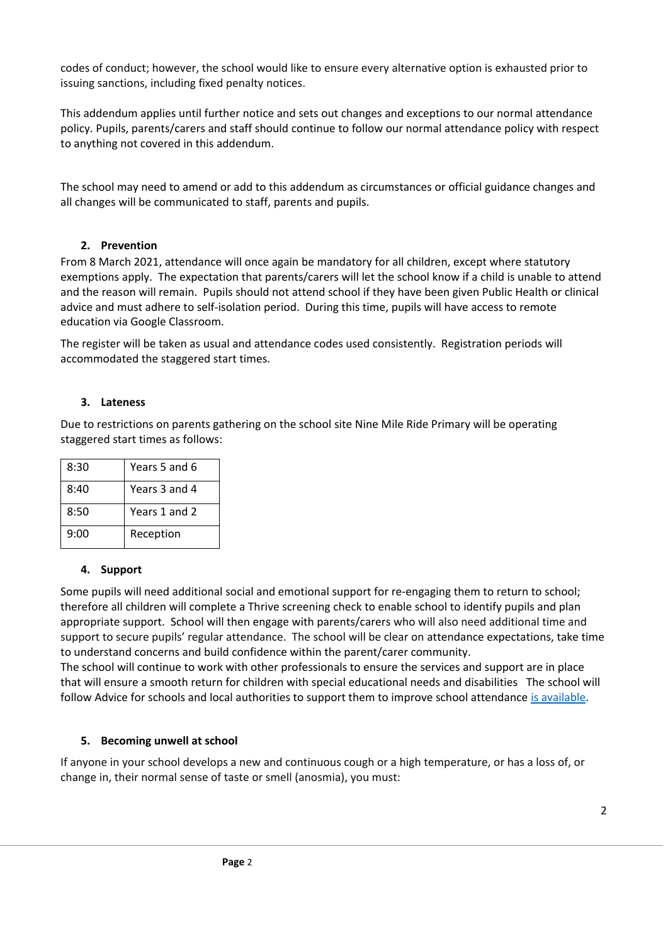codes of conduct; however, the school would like to ensure every alternative option is exhausted prior to issuing sanctions, including fixed penalty notices.

This addendum applies until further notice and sets out changes and exceptions to our normal attendance policy. Pupils, parents/carers and staff should continue to follow our normal attendance policy with respect to anything not covered in this addendum.

The school may need to amend or add to this addendum as circumstances or official guidance changes and all changes will be communicated to staff, parents and pupils.

## **2. Prevention**

From 8 March 2021, attendance will once again be mandatory for all children, except where statutory exemptions apply. The expectation that parents/carers will let the school know if a child is unable to attend and the reason will remain. Pupils should not attend school if they have been given Public Health or clinical advice and must adhere to self-isolation period. During this time, pupils will have access to remote education via Google Classroom.

The register will be taken as usual and attendance codes used consistently. Registration periods will accommodated the staggered start times.

### **3. Lateness**

Due to restrictions on parents gathering on the school site Nine Mile Ride Primary will be operating staggered start times as follows:

| 8:30 | Years 5 and 6 |
|------|---------------|
| 8:40 | Years 3 and 4 |
| 8:50 | Years 1 and 2 |
| 9:00 | Reception     |

#### **4. Support**

Some pupils will need additional social and emotional support for re-engaging them to return to school; therefore all children will complete a Thrive screening check to enable school to identify pupils and plan appropriate support. School will then engage with parents/carers who will also need additional time and support to secure pupils' regular attendance. The school will be clear on attendance expectations, take time to understand concerns and build confidence within the parent/carer community.

The school will continue to work with other professionals to ensure the services and support are in place that will ensure a smooth return for children with special educational needs and disabilities The school will follow Advice for schools and local authorities to support them to improve school attendance [is available.](https://www.gov.uk/government/publications/school-attendance/framework-for-securing-full-attendance-actions-for-schools-and-local-authorities)

#### **5. Becoming unwell at school**

If anyone in your school develops a new and continuous cough or a high temperature, or has a loss of, or change in, their normal sense of taste or smell (anosmia), you must: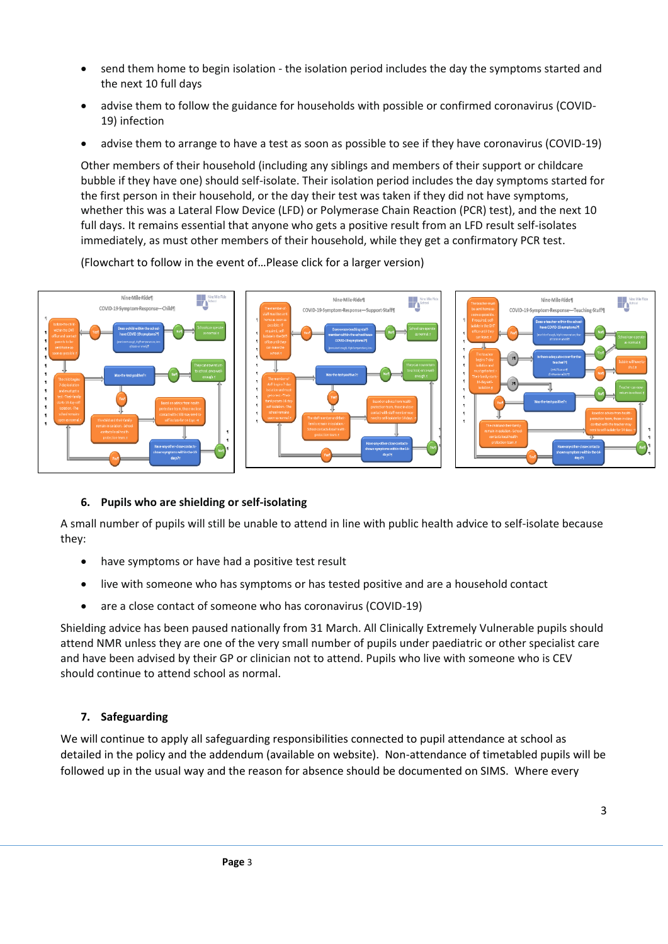- send them home to begin isolation the isolation period includes the day the symptoms started and the next 10 full days
- advise them to follow the guidance for households with possible or confirmed coronavirus (COVID-19) infection
- advise them to arrange to have a test as soon as possible to see if they have coronavirus (COVID-19)

Other members of their household (including any siblings and members of their support or childcare bubble if they have one) should self-isolate. Their isolation period includes the day symptoms started for the first person in their household, or the day their test was taken if they did not have symptoms, whether this was a Lateral Flow Device (LFD) or Polymerase Chain Reaction (PCR) test), and the next 10 full days. It remains essential that anyone who gets a positive result from an LFD result self-isolates immediately, as must other members of their household, while they get a confirmatory PCR test.

(Flowchart to follow in the event of…Please click for a larger version)



## **6. Pupils who are shielding or self-isolating**

A small number of pupils will still be unable to attend in line with public health advice to self-isolate because they:

- have symptoms or have had a positive test result
- live with someone who has symptoms or has tested positive and are a household contact
- are a close contact of someone who has coronavirus (COVID-19)

Shielding advice has been paused nationally from 31 March. All Clinically Extremely Vulnerable pupils should attend NMR unless they are one of the very small number of pupils under paediatric or other specialist care and have been advised by their GP or clinician not to attend. Pupils who live with someone who is CEV should continue to attend school as normal.

## **7. Safeguarding**

We will continue to apply all safeguarding responsibilities connected to pupil attendance at school as detailed in the policy and the addendum (available on website). Non-attendance of timetabled pupils will be followed up in the usual way and the reason for absence should be documented on SIMS. Where every